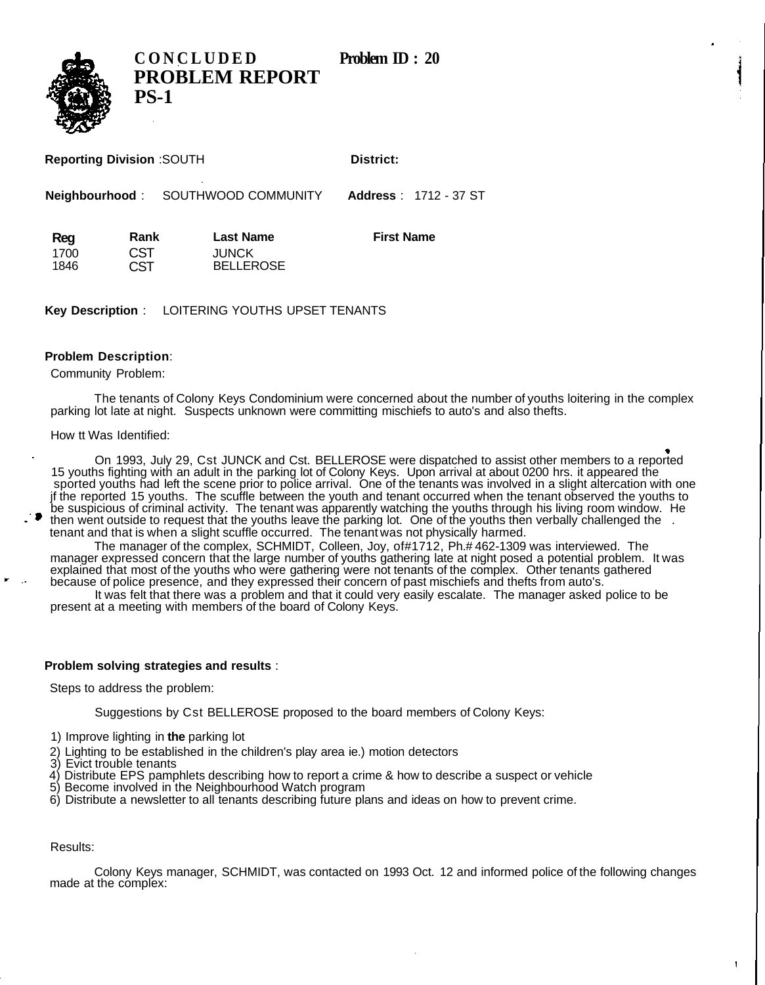**CONCLUDED** Problem **ID** : 20



**PROBLEM REPORT PS-1**

| <b>Reporting Division: SOUTH</b> |                     | District: |                               |
|----------------------------------|---------------------|-----------|-------------------------------|
|                                  |                     |           |                               |
| <b>Neighbourhood:</b>            | SOUTHWOOD COMMUNITY |           | <b>Address</b> : 1712 - 37 ST |

**Reg** 1700 1846 **Rank CST** C<sub>ST</sub> **Last Name** JUNCK BELLEROSE **First Name**

**Key Description** : LOITERING YOUTHS UPSET TENANTS

## **Problem Description**:

Community Problem:

The tenants of Colony Keys Condominium were concerned about the number of youths loitering in the complex parking lot late at night. Suspects unknown were committing mischiefs to auto's and also thefts.

How tt Was Identified:

On 1993, July 29, Cst JUNCK and Cst. BELLEROSE were dispatched to assist other members to a reported 15 youths fighting with an adult in the parking lot of Colony Keys. Upon arrival at about 0200 hrs. it appeared the sported youths had left the scene prior to police arrival. One of the tenants was involved in a slight altercation with one jf the reported 15 youths. The scuffle between the youth and tenant occurred when the tenant observed the youths to be suspicious of criminal activity. The tenant was apparently watching the youths through his living room window. He then went outside to request that the youths leave the parking lot. One of the youths then verbally challenged the . tenant and that is when a slight scuffle occurred. The tenant was not physically harmed.

The manager of the complex, SCHMIDT, Colleen, Joy, of#1712, Ph.# 462-1309 was interviewed. The manager expressed concern that the large number of youths gathering late at night posed a potential problem. It was explained that most of the youths who were gathering were not tenants of the complex. Other tenants gathered because of police presence, and they expressed their concern of past mischiefs and thefts from auto's.

It was felt that there was a problem and that it could very easily escalate. The manager asked police to be present at a meeting with members of the board of Colony Keys.

## **Problem solving strategies and results** :

Steps to address the problem:

Suggestions by Cst BELLEROSE proposed to the board members of Colony Keys:

- 1) Improve lighting in **the** parking lot
- 2) Lighting to be established in the children's play area ie.) motion detectors
- 3) Evict trouble tenants
- 4) Distribute EPS pamphlets describing how to report a crime & how to describe a suspect or vehicle
- 5) Become involved in the Neighbourhood Watch program
- 6) Distribute a newsletter to all tenants describing future plans and ideas on how to prevent crime.

Results:

Colony Keys manager, SCHMIDT, was contacted on 1993 Oct. 12 and informed police of the following changes made at the complex: